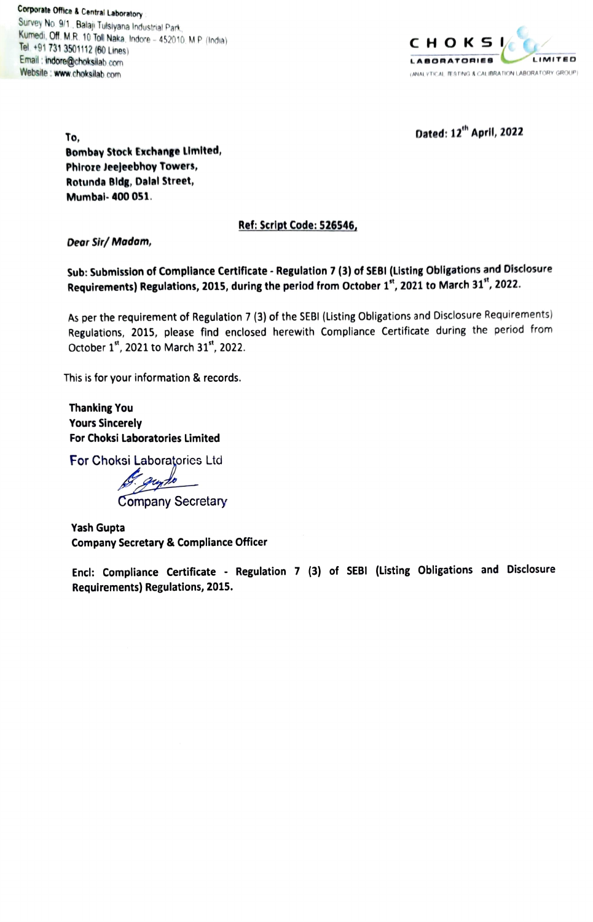Corporate Office & Central Laboratory :<br>Survey No. 9/1., Balaji Tulsiyana Industrial Park Kumedi, Off. M.R. 10 Toll Naka, Indore - 452010. M.P. (India)  $C \vdash C \vdash D \mathbb{K} \mathbb{S}$ Email:indore@choksilab com Website : www.choksilab.com



To,  $\qquad \qquad$  Dated:  $12^{th}$  April, 2022

Bombay Stock Exchange Limited, Phiroze Jeejeebhoy Towers, Rotunda Bldg, Dalal Street, Mumbal- 400 051

## Ref: Script Code: 526546,

Dear Sir/ Madam,

Sub: Submission of Compliance Certificate - Regulation 7 (3) of SEBI (Listing Obligations and Disclosure Requirements) Regulations, 2015, during the period from October 1", 2021 to March 31", 2022.

As per the requirement of Regulation 7 (3) of the SEBI (Listing Obligations and Disclosure Requirements) Regulations, 2015, please find enclosed herewith Compliance Certificate during the period from October 1st, 2021 to March 31st, 2022.

This is for your information & records.

Thanking You Yours Sincerely For Choksi Laboratories Limited

For Choksi Laboratories Ltd<br>*J. qu<sub>n</sub>do* 

Company Secretary

Yash Gupta Company Secretary & Compliance Officer

Encl: Compliance Certificate - Regulation 7 (3) of SEBI (Listing Obligations and Disclosure Requirements) Regulations, 2015.